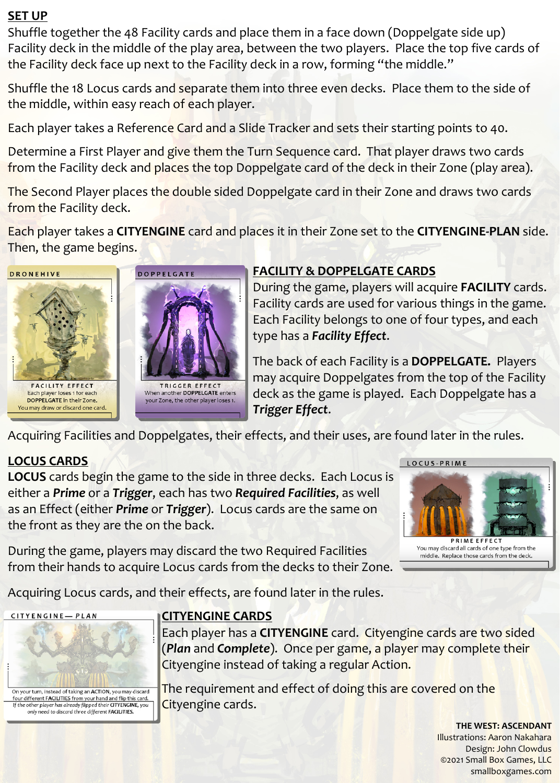#### **SET UP**

Shuffle together the 48 Facility cards and place them in a face down (Doppelgate side up) Facility deck in the middle of the play area, between the two players. Place the top five cards of the Facility deck face up next to the Facility deck in a row, forming "the middle."

Shuffle the 18 Locus cards and separate them into three even decks. Place them to the side of the middle, within easy reach of each player.

Each player takes a Reference Card and a Slide Tracker and sets their starting points to 40.

Determine a First Player and give them the Turn Sequence card. That player draws two cards from the Facility deck and places the top Doppelgate card of the deck in their Zone (play area).

The Second Player places the double sided Doppelgate card in their Zone and draws two cards from the Facility deck.

Each player takes a **CITYENGINE** card and places it in their Zone set to the **CITYENGINE-PLAN** side. Then, the game begins.



## **FACILITY & DOPPELGATE CARDS**

During the game, players will acquire **FACILITY** cards. Facility cards are used for various things in the game. Each Facility belongs to one of four types, and each type has a *Facility Effect*.

The back of each Facility is a **DOPPELGATE.** Players may acquire Doppelgates from the top of the Facility deck as the game is played. Each Doppelgate has a *Trigger Effect*.

Acquiring Facilities and Doppelgates, their effects, and their uses, are found later in the rules.

# **LOCUS CARDS**

**LOCUS** cards begin the game to the side in three decks. Each Locus is either a *Prime* or a *Trigger*, each has two *Required Facilities*, as well as an Effect (either *Prime* or *Trigger*). Locus cards are the same on the front as they are the on the back.

During the game, players may discard the two Required Facilities from their hands to acquire Locus cards from the decks to their Zone.



**PRIME EFFECT** You may discard all cards of one type from the middle. Replace those cards from the deck.

Acquiring Locus cards, and their effects, are found later in the rules.



### **CITYENGINE CARDS**

Each player has a **CITYENGINE** card. Cityengine cards are two sided (*Plan* and *Complete*). Once per game, a player may complete their Cityengine instead of taking a regular Action.

The requirement and effect of doing this are covered on the Cityengine cards.

**THE WEST: ASCENDANT** 

Illustrations: Aaron Nakahara Design: John Clowdus **©**2021 Small Box Games, LLC smallboxgames.com